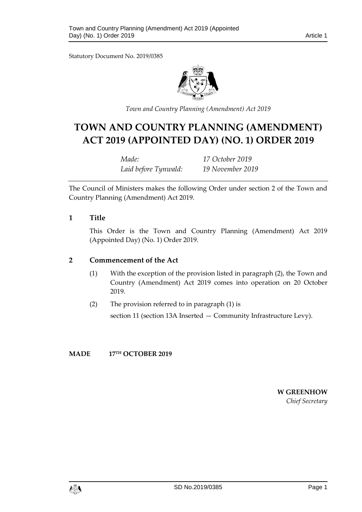Statutory Document No. 2019/0385



*Town and Country Planning (Amendment) Act 2019*

# **TOWN AND COUNTRY PLANNING (AMENDMENT) ACT 2019 (APPOINTED DAY) (NO. 1) ORDER 2019**

| Made:                | 17 October 2019  |
|----------------------|------------------|
| Laid before Tynwald: | 19 November 2019 |

The Council of Ministers makes the following Order under section 2 of the Town and Country Planning (Amendment) Act 2019.

#### **1 Title**

This Order is the Town and Country Planning (Amendment) Act 2019 (Appointed Day) (No. 1) Order 2019.

#### **2 Commencement of the Act**

- (1) With the exception of the provision listed in paragraph (2), the Town and Country (Amendment) Act 2019 comes into operation on 20 October 2019.
- (2) The provision referred to in paragraph (1) is

section 11 (section 13A Inserted — Community Infrastructure Levy).

#### **MADE 17TH OCTOBER 2019**

**W GREENHOW** *Chief Secretary*